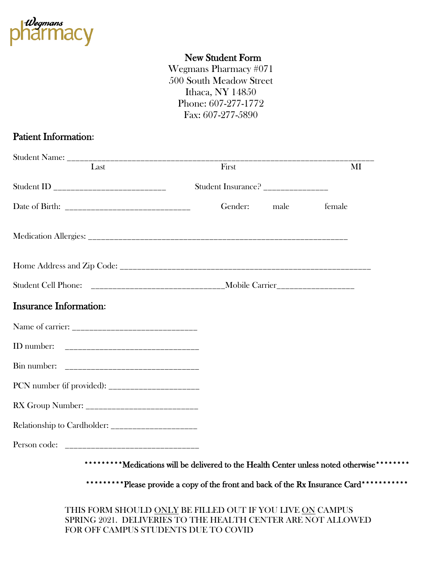

## New Student Form

Wegmans Pharmacy #071 500 South Meadow Street Ithaca, NY 14850 Phone: 607-277-1772 Fax: 607-277-5890

## Patient Information:

| Last                          | First                             | MI             |
|-------------------------------|-----------------------------------|----------------|
|                               | Student Insurance? ______________ |                |
|                               | Gender:                           | male<br>female |
|                               |                                   |                |
|                               |                                   |                |
|                               |                                   |                |
| <b>Insurance Information:</b> |                                   |                |
|                               |                                   |                |
|                               |                                   |                |
|                               |                                   |                |
|                               |                                   |                |
|                               |                                   |                |
|                               |                                   |                |
|                               |                                   |                |

\*\*\*\*\*\*\*\*\*\*Please provide a copy of the front and back of the Rx Insurance Card\*\*\*\*\*\*\*\*\*\*\*

THIS FORM SHOULD ONLY BE FILLED OUT IF YOU LIVE ON CAMPUS SPRING 2021. DELIVERIES TO THE HEALTH CENTER ARE NOT ALLOWED FOR OFF CAMPUS STUDENTS DUE TO COVID